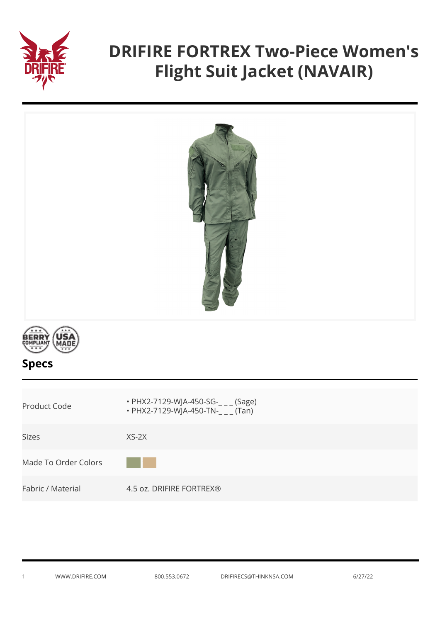

## **DRIFIRE FORTREX Two-Piece Women's Flight Suit Jacket (NAVAIR)**





| Product Code         | • PHX2-7129-WJA-450-SG- $_{---}$ (Sage)<br>• PHX2-7129-WJA-450-TN-___ (Tan) |
|----------------------|-----------------------------------------------------------------------------|
| Sizes                | $XS-2X$                                                                     |
| Made To Order Colors |                                                                             |
| Fabric / Material    | 4.5 oz. DRIFIRE FORTREX®                                                    |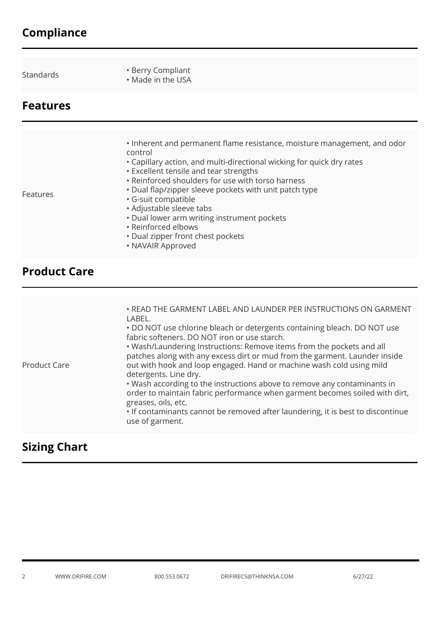## **Compliance**

**Features**

- Standards Berry Compliant Made in the USA
	-

| Features | . Inherent and permanent flame resistance, moisture management, and odor<br>control<br>• Capillary action, and multi-directional wicking for quick dry rates<br><b>• Excellent tensile and tear strengths</b><br>• Reinforced shoulders for use with torso harness<br>. Dual flap/zipper sleeve pockets with unit patch type<br>· G-suit compatible<br>• Adjustable sleeve tabs<br>• Dual lower arm writing instrument pockets<br>• Reinforced elbows<br>• Dual zipper front chest pockets<br>• NAVAIR Approved |
|----------|-----------------------------------------------------------------------------------------------------------------------------------------------------------------------------------------------------------------------------------------------------------------------------------------------------------------------------------------------------------------------------------------------------------------------------------------------------------------------------------------------------------------|

## **Product Care**

|  | <b>Product Care</b> | . READ THE GARMENT LABEL AND LAUNDER PER INSTRUCTIONS ON GARMENT<br>LABEL.<br>. DO NOT use chlorine bleach or detergents containing bleach. DO NOT use<br>fabric softeners. DO NOT iron or use starch.<br>. Wash/Laundering Instructions: Remove items from the pockets and all<br>patches along with any excess dirt or mud from the garment. Launder inside<br>out with hook and loop engaged. Hand or machine wash cold using mild<br>detergents. Line dry.<br>. Wash according to the instructions above to remove any contaminants in<br>order to maintain fabric performance when garment becomes soiled with dirt,<br>greases, oils, etc.<br>. If contaminants cannot be removed after laundering, it is best to discontinue<br>use of garment. |
|--|---------------------|--------------------------------------------------------------------------------------------------------------------------------------------------------------------------------------------------------------------------------------------------------------------------------------------------------------------------------------------------------------------------------------------------------------------------------------------------------------------------------------------------------------------------------------------------------------------------------------------------------------------------------------------------------------------------------------------------------------------------------------------------------|
|--|---------------------|--------------------------------------------------------------------------------------------------------------------------------------------------------------------------------------------------------------------------------------------------------------------------------------------------------------------------------------------------------------------------------------------------------------------------------------------------------------------------------------------------------------------------------------------------------------------------------------------------------------------------------------------------------------------------------------------------------------------------------------------------------|

## **Sizing Chart**